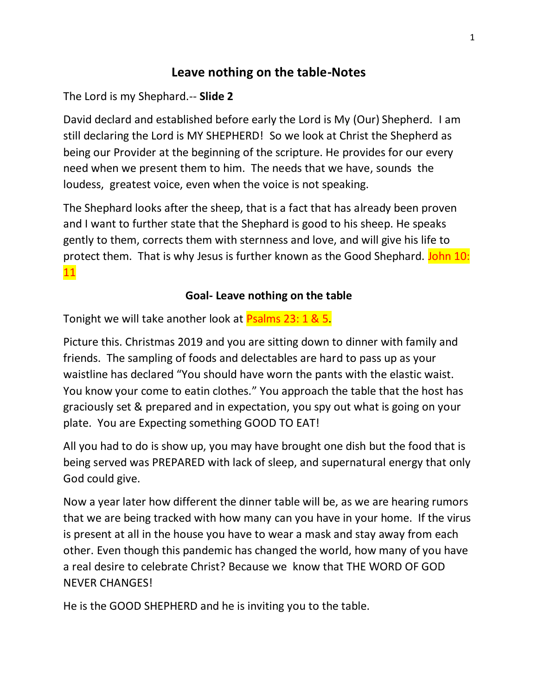# **Leave nothing on the table-Notes**

The Lord is my Shephard.-- **Slide 2**

David declard and established before early the Lord is My (Our) Shepherd. I am still declaring the Lord is MY SHEPHERD! So we look at Christ the Shepherd as being our Provider at the beginning of the scripture. He provides for our every need when we present them to him. The needs that we have, sounds the loudess, greatest voice, even when the voice is not speaking.

The Shephard looks after the sheep, that is a fact that has already been proven and I want to further state that the Shephard is good to his sheep. He speaks gently to them, corrects them with sternness and love, and will give his life to protect them. That is why Jesus is further known as the Good Shephard. John 10: 11

# **Goal- Leave nothing on the table**

Tonight we will take another look at Psalms 23: 1 & 5.

Picture this. Christmas 2019 and you are sitting down to dinner with family and friends. The sampling of foods and delectables are hard to pass up as your waistline has declared "You should have worn the pants with the elastic waist. You know your come to eatin clothes." You approach the table that the host has graciously set & prepared and in expectation, you spy out what is going on your plate. You are Expecting something GOOD TO EAT!

All you had to do is show up, you may have brought one dish but the food that is being served was PREPARED with lack of sleep, and supernatural energy that only God could give.

Now a year later how different the dinner table will be, as we are hearing rumors that we are being tracked with how many can you have in your home. If the virus is present at all in the house you have to wear a mask and stay away from each other. Even though this pandemic has changed the world, how many of you have a real desire to celebrate Christ? Because we know that THE WORD OF GOD NEVER CHANGES!

He is the GOOD SHEPHERD and he is inviting you to the table.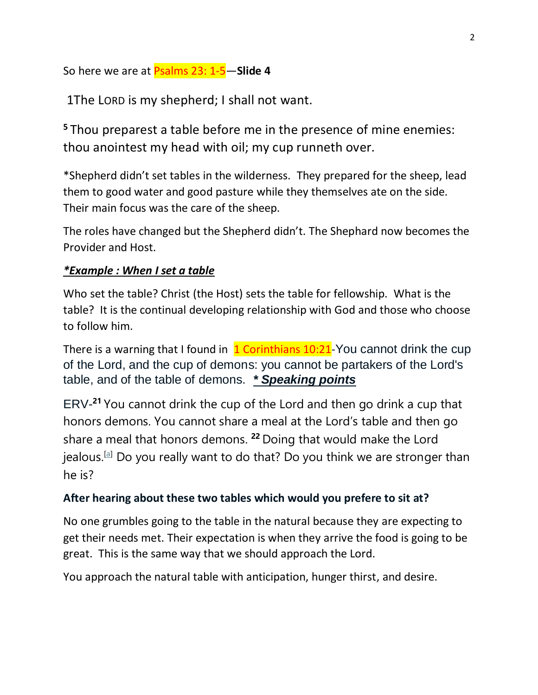So here we are at Psalms 23: 1-5—**Slide 4**

1The LORD is my shepherd; I shall not want.

**<sup>5</sup>** Thou preparest a table before me in the presence of mine enemies: thou anointest my head with oil; my cup runneth over.

\*Shepherd didn't set tables in the wilderness. They prepared for the sheep, lead them to good water and good pasture while they themselves ate on the side. Their main focus was the care of the sheep.

The roles have changed but the Shepherd didn't. The Shephard now becomes the Provider and Host.

## *\*Example : When I set a table*

Who set the table? Christ (the Host) sets the table for fellowship. What is the table? It is the continual developing relationship with God and those who choose to follow him.

There is a warning that I found in  $1$  Corinthians 10:21-You cannot drink the cup of the Lord, and the cup of demons: you cannot be partakers of the Lord's table, and of the table of demons. *\* Speaking points*

ERV-**<sup>21</sup>** You cannot drink the cup of the Lord and then go drink a cup that honors demons. You cannot share a meal at the Lord's table and then go share a meal that honors demons. **<sup>22</sup>** Doing that would make the Lord jealous.<sup>[\[a\]](https://www.biblegateway.com/passage/?search=1+Corinthians+10%3A21-23&version=ERV#fen-ERV-28232a)</sup> Do you really want to do that? Do you think we are stronger than he is?

## **After hearing about these two tables which would you prefere to sit at?**

No one grumbles going to the table in the natural because they are expecting to get their needs met. Their expectation is when they arrive the food is going to be great. This is the same way that we should approach the Lord.

You approach the natural table with anticipation, hunger thirst, and desire.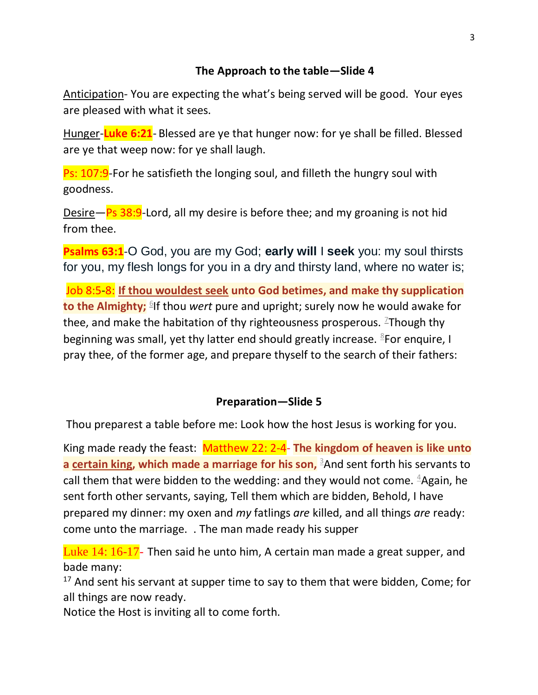# **The Approach to the table—Slide 4**

Anticipation- You are expecting the what's being served will be good. Your eyes are pleased with what it sees.

Hunger-**Luke 6:21**- Blessed are ye that hunger now: for ye shall be filled. Blessed are ye that weep now: for ye shall laugh.

**Ps: 107:9**-For he satisfieth the longing soul, and filleth the hungry soul with goodness.

Desire—Ps  $38:9$ -Lord, all my desire is before thee; and my groaning is not hid from thee.

**Psalms 63:1**-O God, you are my God; **early will** I **seek** you: my soul thirsts for you, my flesh longs for you in a dry and thirsty land, where no water is;

Job 8:5-8: **If thou wouldest seek unto God betimes, and make thy supplication to the Almighty;** <sup>[1]</sup> If thou *wert* pure and upright; surely now he would awake for thee, and make the habitation of thy righteousness prosperous.  $\frac{1}{2}$ Though thy beginning was small, yet thy latter end should greatly increase. <sup>[8](https://www.kingjamesbibleonline.org/Job-8-8/)</sup>For enquire, I pray thee, of the former age, and prepare thyself to the search of their fathers:

#### **Preparation—Slide 5**

Thou preparest a table before me: Look how the host Jesus is working for you.

King made ready the feast: Matthew 22: 2-4- **The kingdom of heaven is like unto a certain king, which made a marriage for his son,** [3](https://www.kingjamesbibleonline.org/Matthew-22-3/)And sent forth his servants to call them that were bidden to the wedding: and they would not come.  $4$ Again, he sent forth other servants, saying, Tell them which are bidden, Behold, I have prepared my dinner: my oxen and *my* fatlings *are* killed, and all things *are* ready: come unto the marriage. . The man made ready his supper

Luke 14: 16-17- Then said he unto him, A certain man made a great [supper,](https://www.kingjamesbibleonline.org/Luke-14-16/) and bade [many:](https://www.kingjamesbibleonline.org/Luke-14-16/)

 $17$  And sent his [servant](https://www.kingjamesbibleonline.org/Luke-14-17/) at supper time to say to them that were bidden, Come; for all things are now [ready.](https://www.kingjamesbibleonline.org/Luke-14-17/)

Notice the Host is inviting all to come forth.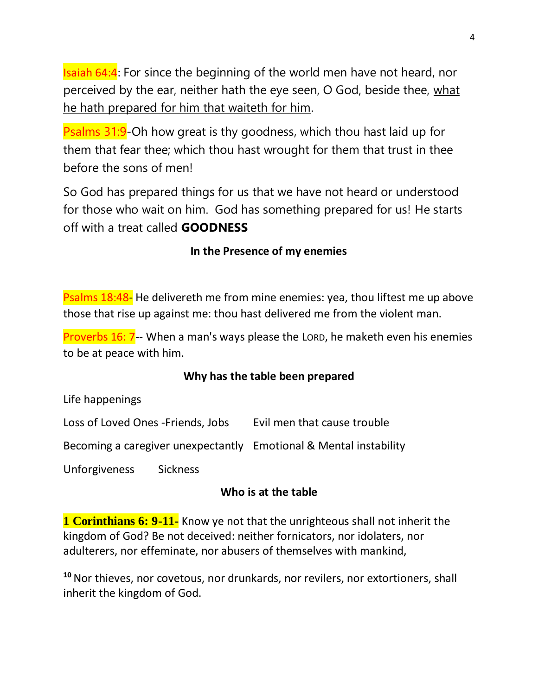Isaiah 64:4: For since the beginning of the world men have not heard, nor perceived by the ear, neither hath the eye seen, O God, beside thee, what he hath prepared for him that waiteth for him.

**Psalms 31:9-Oh how great is thy goodness, which thou hast laid up for** them that fear thee; which thou hast wrought for them that trust in thee before the sons of men!

So God has prepared things for us that we have not heard or understood for those who wait on him. God has something prepared for us! He starts off with a treat called **GOODNESS**

# **In the Presence of my enemies**

Psalms 18:48- He delivereth me from mine enemies: yea, thou liftest me up above those that rise up against me: thou hast delivered me from the violent man.

Proverbs 16: 7-- When a man's ways please the LORD, he maketh even his enemies to be at peace with him.

## **Why has the table been prepared**

Life happenings

Loss of Loved Ones -Friends, Jobs Evil men that cause trouble

Becoming a caregiver unexpectantly Emotional & Mental instability

Unforgiveness Sickness

## **Who is at the table**

**1 Corinthians 6: 9-11-** Know ye not that the unrighteous shall not inherit the kingdom of God? Be not deceived: neither fornicators, nor idolaters, nor adulterers, nor effeminate, nor abusers of themselves with mankind,

**<sup>10</sup>** Nor thieves, nor covetous, nor drunkards, nor revilers, nor extortioners, shall inherit the kingdom of God.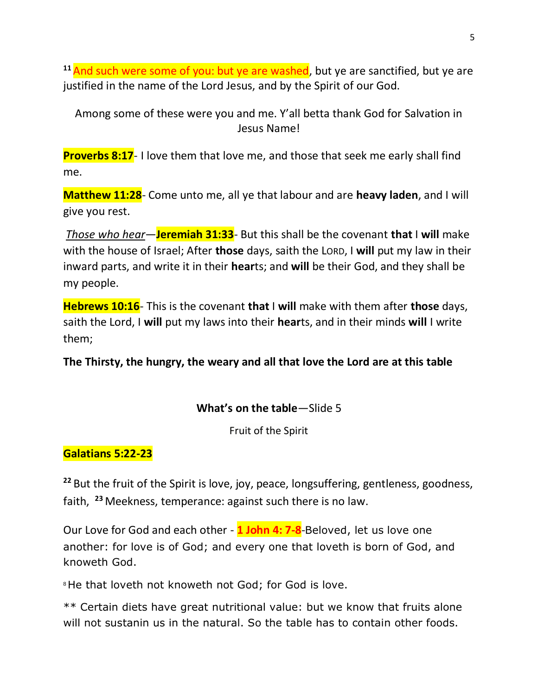<sup>11</sup> And such were some of you: but ye are washed, but ye are sanctified, but ye are justified in the name of the Lord Jesus, and by the Spirit of our God.

Among some of these were you and me. Y'all betta thank God for Salvation in Jesus Name!

**Proverbs 8:17**- I love them that love me, and those that seek me early shall find me.

**Matthew 11:28**- Come unto me, all ye that labour and are **heavy laden**, and I will give you rest.

*Those who hear*—**Jeremiah 31:33**- But this shall be the covenant **that** I **will** make with the house of Israel; After **those** days, saith the LORD, I **will** put my law in their inward parts, and write it in their **hear**ts; and **will** be their God, and they shall be my people.

**Hebrews 10:16**- This is the covenant **that** I **will** make with them after **those** days, saith the Lord, I **will** put my laws into their **hear**ts, and in their minds **will** I write them;

**The Thirsty, the hungry, the weary and all that love the Lord are at this table**

#### **What's on the table**—Slide 5

Fruit of the Spirit

## **Galatians 5:22-23**

**<sup>22</sup>** But the fruit of the Spirit is love, joy, peace, longsuffering, gentleness, goodness, faith, **<sup>23</sup>** Meekness, temperance: against such there is no law.

Our Love for God and each other - **1 John 4: 7-8**-Beloved, let us love one another: for love is of God; and every one that loveth is born of God, and knoweth God.

<sup>8</sup>He that loveth not knoweth not God; for God is love.

\*\* Certain diets have great nutritional value: but we know that fruits alone will not sustanin us in the natural. So the table has to contain other foods.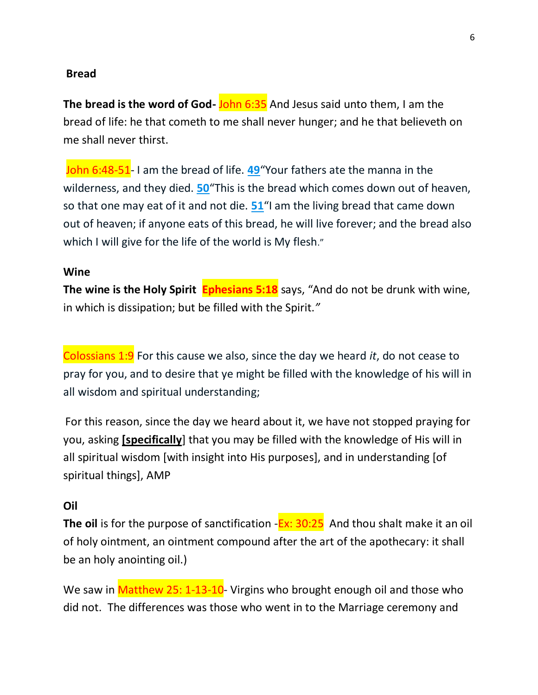#### **Bread**

**The bread is the word of God-** John 6:35 And Jesus said unto them, I am the bread of life: he that cometh to me shall never hunger; and he that believeth on me shall never thirst.

John 6:48-51- I am the bread of life. **[49](https://biblehub.com/john/6-49.htm)**"Your fathers ate the manna in the wilderness, and they died. **[50](https://biblehub.com/john/6-50.htm)**"This is the bread which comes down out of heaven, so that one may eat of it and not die. **[51](https://biblehub.com/john/6-51.htm)**"I am the living bread that came down out of heaven; if anyone eats of this bread, he will live forever; and the bread also which I will give for the life of the world is My flesh."

#### **Wine**

**The wine is the Holy Spirit Ephesians 5:18** says, "And do not be drunk with wine, in which is dissipation; but be filled with the Spirit.*"*

Colossians 1:9 For this cause we also, since the day we heard *it*, do not cease to pray for you, and to desire that ye might be filled with the knowledge of his will in all wisdom and spiritual understanding;

For this reason, since the day we heard about it, we have not stopped praying for you, asking **[specifically**] that you may be filled with the knowledge of His will in all spiritual wisdom [with insight into His purposes], and in understanding [of spiritual things], AMP

#### **Oil**

The oil is for the purpose of sanctification -**Ex: 30:25** And thou shalt make it an oil of holy ointment, an ointment compound after the art of the apothecary: it shall be an holy anointing oil.)

We saw in Matthew 25: 1-13-10- Virgins who brought enough oil and those who did not. The differences was those who went in to the Marriage ceremony and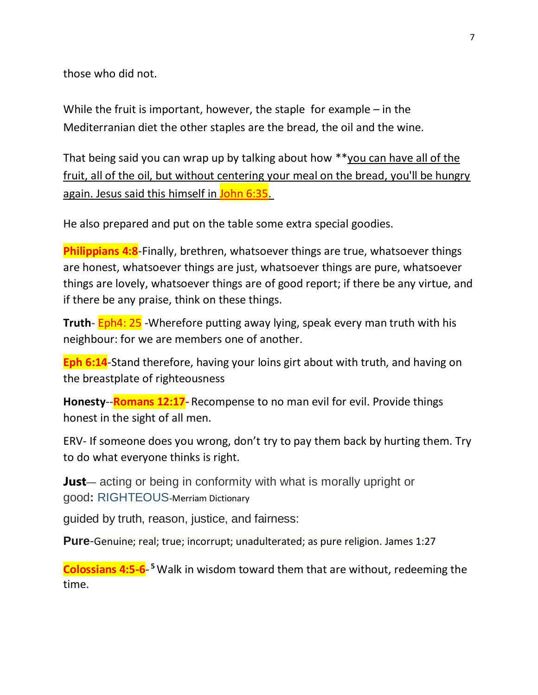those who did not.

While the fruit is important, however, the staple for example  $-$  in the Mediterranian diet the other staples are the bread, the oil and the wine.

That being said you can wrap up by talking about how \*\*you can have all of the fruit, all of the oil, but without centering your meal on the bread, you'll be hungry again. Jesus said this himself in John 6:35.

He also prepared and put on the table some extra special goodies.

**Philippians 4:8-Finally, brethren, whatsoever things are true, whatsoever things** are honest, whatsoever things are just, whatsoever things are pure, whatsoever things are lovely, whatsoever things are of good report; if there be any virtue, and if there be any praise, think on these things.

**Truth**- Eph4: 25 -Wherefore putting away lying, speak every man truth with his neighbour: for we are members one of another.

**Eph 6:14**-Stand therefore, having your loins girt about with truth, and having on the breastplate of righteousness

**Honesty**--**Romans 12:17-** Recompense to no man evil for evil. Provide things honest in the sight of all men.

ERV- If someone does you wrong, don't try to pay them back by hurting them. Try to do what everyone thinks is right.

**Just**— acting or being in conformity with what is morally upright or good**:** [RIGHTEOUS](https://www.merriam-webster.com/dictionary/righteous)-Merriam Dictionary

guided by truth, reason, justice, and fairness:

**Pure**-Genuine; real; true; incorrupt; unadulterated; as pure religion. James 1:27

**Colossians 4:5-6**- **<sup>5</sup>**Walk in wisdom toward them that are without, redeeming the time.